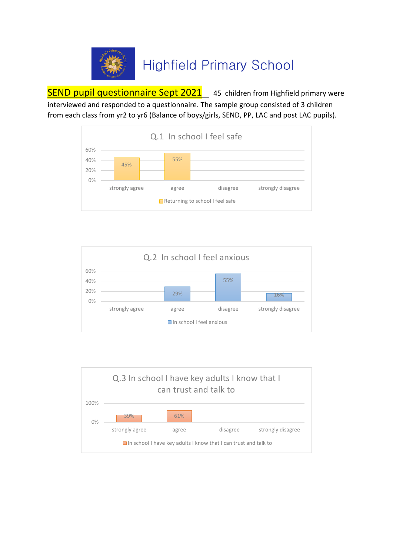

# **Highfield Primary School**

SEND pupil questionnaire Sept 2021 45 children from Highfield primary were interviewed and responded to a questionnaire. The sample group consisted of 3 children from each class from yr2 to yr6 (Balance of boys/girls, SEND, PP, LAC and post LAC pupils).





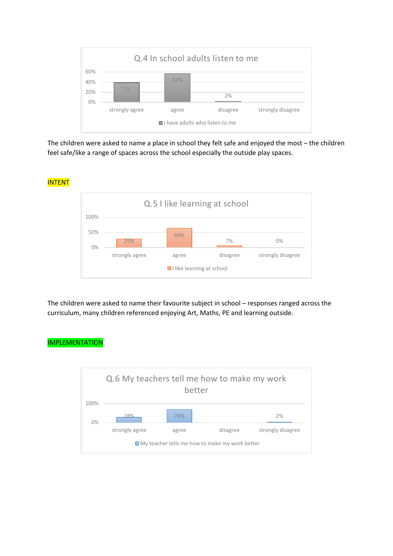

The children were asked to name a place in school they felt safe and enjoyed the most – the children feel safe/like a range of spaces across the school especially the outside play spaces.



The children were asked to name their favourite subject in school – responses ranged across the curriculum, many children referenced enjoying Art, Maths, PE and learning outside.

#### IMPLEMENTATION

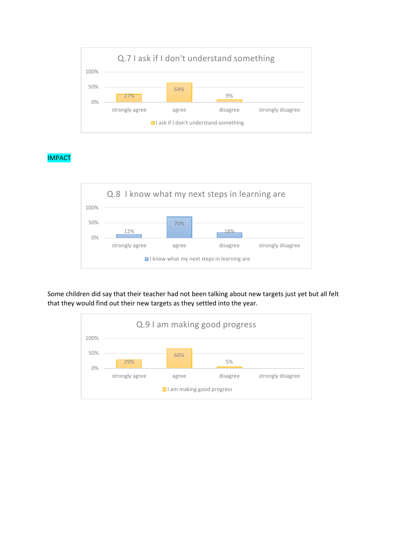

## IMPACT



Some children did say that their teacher had not been talking about new targets just yet but all felt that they would find out their new targets as they settled into the year.